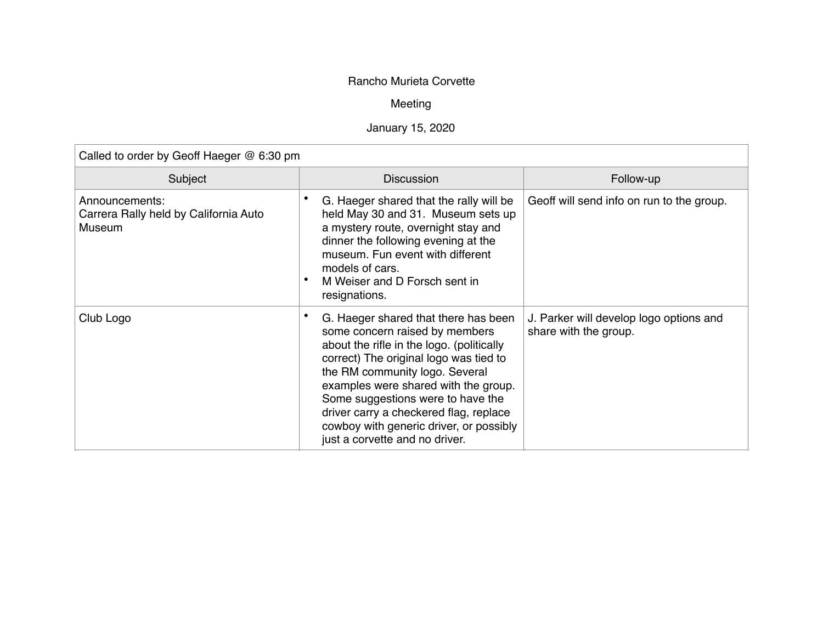## Rancho Murieta Corvette

## Meeting

## January 15, 2020

| Called to order by Geoff Haeger @ 6:30 pm                         |                                                                                                                                                                                                                                                                                                                                                                                                     |                                                                  |  |  |  |
|-------------------------------------------------------------------|-----------------------------------------------------------------------------------------------------------------------------------------------------------------------------------------------------------------------------------------------------------------------------------------------------------------------------------------------------------------------------------------------------|------------------------------------------------------------------|--|--|--|
| Subject                                                           | <b>Discussion</b>                                                                                                                                                                                                                                                                                                                                                                                   | Follow-up                                                        |  |  |  |
| Announcements:<br>Carrera Rally held by California Auto<br>Museum | G. Haeger shared that the rally will be<br>held May 30 and 31. Museum sets up<br>a mystery route, overnight stay and<br>dinner the following evening at the<br>museum. Fun event with different<br>models of cars.<br>M Weiser and D Forsch sent in<br>resignations.                                                                                                                                | Geoff will send info on run to the group.                        |  |  |  |
| Club Logo                                                         | G. Haeger shared that there has been<br>some concern raised by members<br>about the rifle in the logo. (politically<br>correct) The original logo was tied to<br>the RM community logo. Several<br>examples were shared with the group.<br>Some suggestions were to have the<br>driver carry a checkered flag, replace<br>cowboy with generic driver, or possibly<br>just a corvette and no driver. | J. Parker will develop logo options and<br>share with the group. |  |  |  |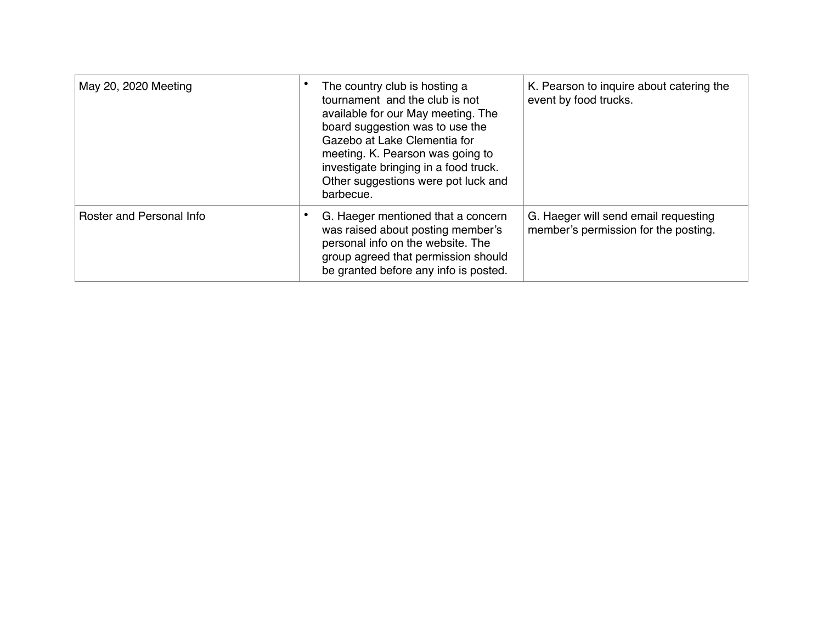| May 20, 2020 Meeting     | The country club is hosting a<br>tournament and the club is not<br>available for our May meeting. The<br>board suggestion was to use the<br>Gazebo at Lake Clementia for<br>meeting. K. Pearson was going to<br>investigate bringing in a food truck.<br>Other suggestions were pot luck and<br>barbecue. | K. Pearson to inquire about catering the<br>event by food trucks.            |
|--------------------------|-----------------------------------------------------------------------------------------------------------------------------------------------------------------------------------------------------------------------------------------------------------------------------------------------------------|------------------------------------------------------------------------------|
| Roster and Personal Info | G. Haeger mentioned that a concern<br>was raised about posting member's<br>personal info on the website. The<br>group agreed that permission should<br>be granted before any info is posted.                                                                                                              | G. Haeger will send email requesting<br>member's permission for the posting. |